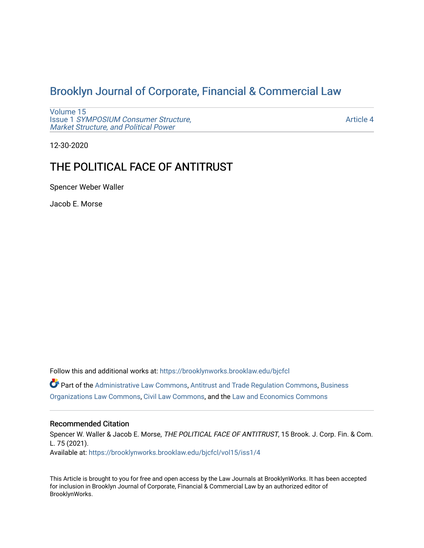# [Brooklyn Journal of Corporate, Financial & Commercial Law](https://brooklynworks.brooklaw.edu/bjcfcl)

[Volume 15](https://brooklynworks.brooklaw.edu/bjcfcl/vol15) Issue 1 [SYMPOSIUM Consumer Structure,](https://brooklynworks.brooklaw.edu/bjcfcl/vol15/iss1) [Market Structure, and Political Power](https://brooklynworks.brooklaw.edu/bjcfcl/vol15/iss1)

[Article 4](https://brooklynworks.brooklaw.edu/bjcfcl/vol15/iss1/4) 

12-30-2020

## THE POLITICAL FACE OF ANTITRUST

Spencer Weber Waller

Jacob E. Morse

Follow this and additional works at: [https://brooklynworks.brooklaw.edu/bjcfcl](https://brooklynworks.brooklaw.edu/bjcfcl?utm_source=brooklynworks.brooklaw.edu%2Fbjcfcl%2Fvol15%2Fiss1%2F4&utm_medium=PDF&utm_campaign=PDFCoverPages) Part of the [Administrative Law Commons,](http://network.bepress.com/hgg/discipline/579?utm_source=brooklynworks.brooklaw.edu%2Fbjcfcl%2Fvol15%2Fiss1%2F4&utm_medium=PDF&utm_campaign=PDFCoverPages) [Antitrust and Trade Regulation Commons,](http://network.bepress.com/hgg/discipline/911?utm_source=brooklynworks.brooklaw.edu%2Fbjcfcl%2Fvol15%2Fiss1%2F4&utm_medium=PDF&utm_campaign=PDFCoverPages) [Business](http://network.bepress.com/hgg/discipline/900?utm_source=brooklynworks.brooklaw.edu%2Fbjcfcl%2Fvol15%2Fiss1%2F4&utm_medium=PDF&utm_campaign=PDFCoverPages)  [Organizations Law Commons](http://network.bepress.com/hgg/discipline/900?utm_source=brooklynworks.brooklaw.edu%2Fbjcfcl%2Fvol15%2Fiss1%2F4&utm_medium=PDF&utm_campaign=PDFCoverPages), [Civil Law Commons,](http://network.bepress.com/hgg/discipline/835?utm_source=brooklynworks.brooklaw.edu%2Fbjcfcl%2Fvol15%2Fiss1%2F4&utm_medium=PDF&utm_campaign=PDFCoverPages) and the [Law and Economics Commons](http://network.bepress.com/hgg/discipline/612?utm_source=brooklynworks.brooklaw.edu%2Fbjcfcl%2Fvol15%2Fiss1%2F4&utm_medium=PDF&utm_campaign=PDFCoverPages)

## Recommended Citation

Spencer W. Waller & Jacob E. Morse, THE POLITICAL FACE OF ANTITRUST, 15 Brook. J. Corp. Fin. & Com. L. 75 (2021). Available at: [https://brooklynworks.brooklaw.edu/bjcfcl/vol15/iss1/4](https://brooklynworks.brooklaw.edu/bjcfcl/vol15/iss1/4?utm_source=brooklynworks.brooklaw.edu%2Fbjcfcl%2Fvol15%2Fiss1%2F4&utm_medium=PDF&utm_campaign=PDFCoverPages)

This Article is brought to you for free and open access by the Law Journals at BrooklynWorks. It has been accepted for inclusion in Brooklyn Journal of Corporate, Financial & Commercial Law by an authorized editor of BrooklynWorks.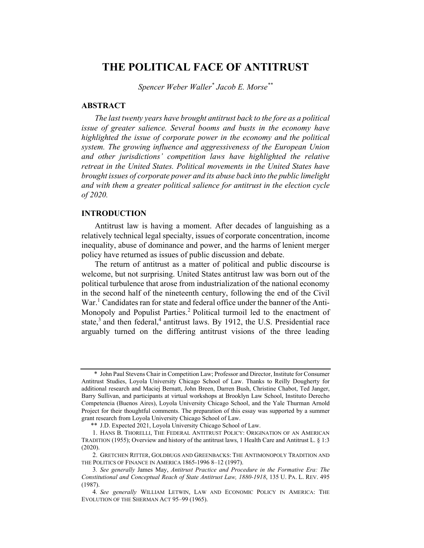## THE POLITICAL FACE OF ANTITRUST

Spencer Weber Waller\* Jacob E. Morse\*\*

#### **ABSTRACT**

The last twenty years have brought antitrust back to the fore as a political issue of greater salience. Several booms and busts in the economy have highlighted the issue of corporate power in the economy and the political system. The growing influence and aggressiveness of the European Union and other jurisdictions' competition laws have highlighted the relative retreat in the United States. Political movements in the United States have brought issues of corporate power and its abuse back into the public limelight and with them a greater political salience for antitrust in the election cycle of 2020.

## INTRODUCTION

Antitrust law is having a moment. After decades of languishing as a relatively technical legal specialty, issues of corporate concentration, income inequality, abuse of dominance and power, and the harms of lenient merger policy have returned as issues of public discussion and debate.

The return of antitrust as a matter of political and public discourse is welcome, but not surprising. United States antitrust law was born out of the political turbulence that arose from industrialization of the national economy in the second half of the nineteenth century, following the end of the Civil War.<sup>1</sup> Candidates ran for state and federal office under the banner of the Anti-Monopoly and Populist Parties.<sup>2</sup> Political turmoil led to the enactment of state, $3$  and then federal, $4$  antitrust laws. By 1912, the U.S. Presidential race arguably turned on the differing antitrust visions of the three leading

<sup>\*</sup> John Paul Stevens Chair in Competition Law; Professor and Director, Institute for Consumer Antitrust Studies, Loyola University Chicago School of Law. Thanks to Reilly Dougherty for additional research and Maciej Bernatt, John Breen, Darren Bush, Christine Chabot, Ted Janger, Barry Sullivan, and participants at virtual workshops at Brooklyn Law School, Instituto Derecho Competencia (Buenos Aires), Loyola University Chicago School, and the Yale Thurman Arnold Project for their thoughtful comments. The preparation of this essay was supported by a summer grant research from Loyola University Chicago School of Law.

<sup>\*\*</sup> J.D. Expected 2021, Loyola University Chicago School of Law.

<sup>1.</sup> HANS B. THORELLI, THE FEDERAL ANTITRUST POLICY: ORIGINATION OF AN AMERICAN TRADITION (1955); Overview and history of the antitrust laws, 1 Health Care and Antitrust L. § 1:3 (2020).

<sup>2.</sup> GRETCHEN RITTER, GOLDBUGS AND GREENBACKS: THE ANTIMONOPOLY TRADITION AND THE POLITICS OF FINANCE IN AMERICA 1865-1996 8–12 (1997).

<sup>3</sup>. See generally James May, Antitrust Practice and Procedure in the Formative Era: The Constitutional and Conceptual Reach of State Antitrust Law, 1880-1918, 135 U. PA. L. REV. 495 (1987).

<sup>4</sup>. See generally WILLIAM LETWIN, LAW AND ECONOMIC POLICY IN AMERICA: THE EVOLUTION OF THE SHERMAN ACT 95–99 (1965).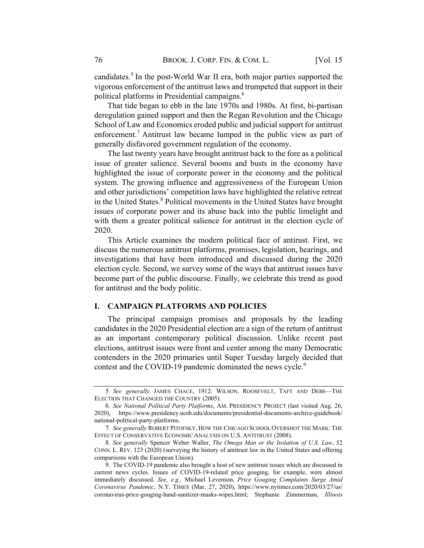candidates.<sup>5</sup> In the post-World War II era, both major parties supported the vigorous enforcement of the antitrust laws and trumpeted that support in their political platforms in Presidential campaigns. 6

That tide began to ebb in the late 1970s and 1980s. At first, bi-partisan deregulation gained support and then the Regan Revolution and the Chicago School of Law and Economics eroded public and judicial support for antitrust enforcement.<sup>7</sup> Antitrust law became lumped in the public view as part of generally disfavored government regulation of the economy.

The last twenty years have brought antitrust back to the fore as a political issue of greater salience. Several booms and busts in the economy have highlighted the issue of corporate power in the economy and the political system. The growing influence and aggressiveness of the European Union and other jurisdictions' competition laws have highlighted the relative retreat in the United States.<sup>8</sup> Political movements in the United States have brought issues of corporate power and its abuse back into the public limelight and with them a greater political salience for antitrust in the election cycle of 2020.

This Article examines the modern political face of antirust. First, we discuss the numerous antitrust platforms, promises, legislation, hearings, and investigations that have been introduced and discussed during the 2020 election cycle. Second, we survey some of the ways that antitrust issues have become part of the public discourse. Finally, we celebrate this trend as good for antitrust and the body politic.

## I. CAMPAIGN PLATFORMS AND POLICIES

The principal campaign promises and proposals by the leading candidates in the 2020 Presidential election are a sign of the return of antitrust as an important contemporary political discussion. Unlike recent past elections, antitrust issues were front and center among the many Democratic contenders in the 2020 primaries until Super Tuesday largely decided that contest and the COVID-19 pandemic dominated the news cycle.<sup>9</sup>

<sup>5</sup>. See generally JAMES CHACE, 1912: WILSON, ROOSEVELT, TAFT AND DEBS—THE ELECTION THAT CHANGED THE COUNTRY (2005).

<sup>6</sup>. See National Political Party Platforms, AM. PRESIDENCY PROJECT (last visited Aug. 26, 2020), https://www.presidency.ucsb.edu/documents/presidential-documents-archive-guidebook/ national-political-party-platforms.

<sup>7.</sup> See generally ROBERT PITOFSKY, HOW THE CHICAGO SCHOOL OVERSHOT THE MARK: THE EFFECT OF CONSERVATIVE ECONOMIC ANALYSIS ON U.S. ANTITRUST (2008).

<sup>8</sup>. See generally Spencer Weber Waller, The Omega Man or the Isolation of U.S. Law, 52 CONN. L. REV. 123 (2020) (surveying the history of antitrust law in the United States and offering comparisons with the European Union).

<sup>9.</sup> The COVID-19 pandemic also brought a host of new antitrust issues which are discussed in current news cycles. Issues of COVID-19-related price gouging, for example, were almost immediately discussed. See, e.g., Michael Levenson, Price Gouging Complaints Surge Amid Coronavirus Pandemic, N.Y. TIMES (Mar. 27, 2020), https://www.nytimes.com/2020/03/27/us/ coronavirus-price-gouging-hand-sanitizer-masks-wipes.html; Stephanie Zimmerman, Illinois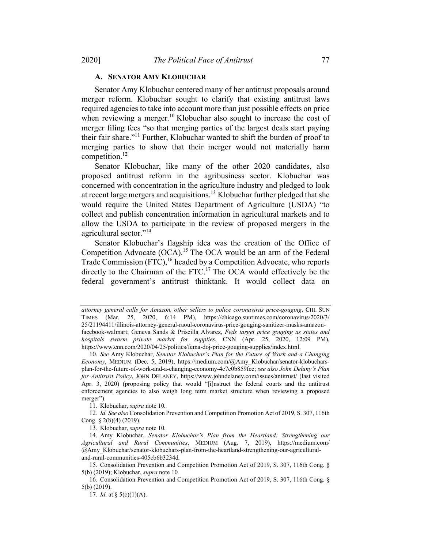#### A. SENATOR AMY KLOBUCHAR

Senator Amy Klobuchar centered many of her antitrust proposals around merger reform. Klobuchar sought to clarify that existing antitrust laws required agencies to take into account more than just possible effects on price when reviewing a merger.<sup>10</sup> Klobuchar also sought to increase the cost of merger filing fees "so that merging parties of the largest deals start paying their fair share."<sup>11</sup> Further, Klobuchar wanted to shift the burden of proof to merging parties to show that their merger would not materially harm competition.<sup>12</sup>

Senator Klobuchar, like many of the other 2020 candidates, also proposed antitrust reform in the agribusiness sector. Klobuchar was concerned with concentration in the agriculture industry and pledged to look at recent large mergers and acquisitions.<sup>13</sup> Klobuchar further pledged that she would require the United States Department of Agriculture (USDA) "to collect and publish concentration information in agricultural markets and to allow the USDA to participate in the review of proposed mergers in the agricultural sector."<sup>14</sup>

Senator Klobuchar's flagship idea was the creation of the Office of Competition Advocate (OCA).<sup>15</sup> The OCA would be an arm of the Federal Trade Commission  $(FTC)$ ,<sup>16</sup> headed by a Competition Advocate, who reports directly to the Chairman of the FTC.<sup>17</sup> The OCA would effectively be the federal government's antitrust thinktank. It would collect data on

11. Klobuchar, supra note 10.

12. Id. See also Consolidation Prevention and Competition Promotion Act of 2019, S. 307, 116th Cong. § 2(b)(4) (2019).

13. Klobuchar, supra note 10.

attorney general calls for Amazon, other sellers to police coronavirus price-gouging, CHI. SUN TIMES (Mar. 25, 2020, 6:14 PM), https://chicago.suntimes.com/coronavirus/2020/3/ 25/21194411/illinois-attorney-general-raoul-coronavirus-price-gouging-sanitizer-masks-amazonfacebook-walmart; Geneva Sands & Priscilla Alvarez, Feds target price gouging as states and hospitals swarm private market for supplies, CNN (Apr. 25, 2020, 12:09 PM), https://www.cnn.com/2020/04/25/politics/fema-doj-price-gouging-supplies/index.html.

<sup>10</sup>. See Amy Klobuchar, Senator Klobuchar's Plan for the Future of Work and a Changing Economy, MEDIUM (Dec. 5, 2019), https://medium.com/@Amy\_Klobuchar/senator-klobucharsplan-for-the-future-of-work-and-a-changing-economy-4c7c0b859fec; see also John Delany's Plan for Antitrust Policy, JOHN DELANEY, https://www.johndelaney.com/issues/antitrust/ (last visited Apr. 3, 2020) (proposing policy that would "[i]nstruct the federal courts and the antitrust enforcement agencies to also weigh long term market structure when reviewing a proposed merger").

<sup>14.</sup> Amy Klobuchar, Senator Klobuchar's Plan from the Heartland: Strengthening our Agricultural and Rural Communities, MEDIUM (Aug. 7, 2019), https://medium.com/ @Amy\_Klobuchar/senator-klobuchars-plan-from-the-heartland-strengthening-our-agriculturaland-rural-communities-405cb6b3234d.

<sup>15.</sup> Consolidation Prevention and Competition Promotion Act of 2019, S. 307, 116th Cong. § 5(b) (2019); Klobuchar, supra note 10.

<sup>16.</sup> Consolidation Prevention and Competition Promotion Act of 2019, S. 307, 116th Cong. § 5(b) (2019).

<sup>17.</sup> *Id.* at §  $5(c)(1)(A)$ .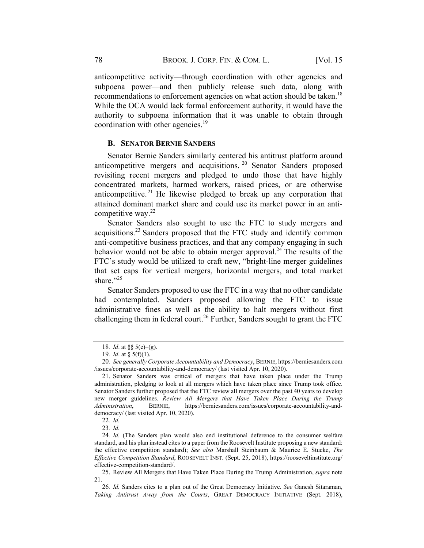anticompetitive activity—through coordination with other agencies and subpoena power—and then publicly release such data, along with recommendations to enforcement agencies on what action should be taken.<sup>18</sup> While the OCA would lack formal enforcement authority, it would have the authority to subpoena information that it was unable to obtain through coordination with other agencies.<sup>19</sup>

#### **B. SENATOR BERNIE SANDERS**

Senator Bernie Sanders similarly centered his antitrust platform around anticompetitive mergers and acquisitions. <sup>20</sup> Senator Sanders proposed revisiting recent mergers and pledged to undo those that have highly concentrated markets, harmed workers, raised prices, or are otherwise anticompetitive.<sup>21</sup> He likewise pledged to break up any corporation that attained dominant market share and could use its market power in an anticompetitive way.<sup>22</sup>

Senator Sanders also sought to use the FTC to study mergers and acquisitions.<sup>23</sup> Sanders proposed that the FTC study and identify common anti-competitive business practices, and that any company engaging in such behavior would not be able to obtain merger approval.<sup>24</sup> The results of the FTC's study would be utilized to craft new, "bright-line merger guidelines that set caps for vertical mergers, horizontal mergers, and total market share."<sup>25</sup>

Senator Sanders proposed to use the FTC in a way that no other candidate had contemplated. Sanders proposed allowing the FTC to issue administrative fines as well as the ability to halt mergers without first challenging them in federal court.<sup>26</sup> Further, Sanders sought to grant the FTC

<sup>18.</sup> *Id.* at §§ 5(e)–(g).

<sup>19.</sup> *Id.* at  $\S$  5(f)(1).

<sup>20</sup>. See generally Corporate Accountability and Democracy, BERNIE, https://berniesanders.com /issues/corporate-accountability-and-democracy/ (last visited Apr. 10, 2020).

<sup>21.</sup> Senator Sanders was critical of mergers that have taken place under the Trump administration, pledging to look at all mergers which have taken place since Trump took office. Senator Sanders further proposed that the FTC review all mergers over the past 40 years to develop new merger guidelines. Review All Mergers that Have Taken Place During the Trump Administration, BERNIE, https://berniesanders.com/issues/corporate-accountability-anddemocracy/ (last visited Apr. 10, 2020).

<sup>22</sup>. Id.

<sup>23</sup>. Id.

<sup>24.</sup> Id. (The Sanders plan would also end institutional deference to the consumer welfare standard, and his plan instead cites to a paper from the Roosevelt Institute proposing a new standard: the effective competition standard); See also Marshall Steinbaum & Maurice E. Stucke, The Effective Competition Standard, ROOSEVELT INST. (Sept. 25, 2018), https://rooseveltinstitute.org/ effective-competition-standard/.

<sup>25.</sup> Review All Mergers that Have Taken Place During the Trump Administration, *supra* note 21.

<sup>26.</sup> Id. Sanders cites to a plan out of the Great Democracy Initiative. See Ganesh Sitaraman, Taking Antitrust Away from the Courts, GREAT DEMOCRACY INITIATIVE (Sept. 2018),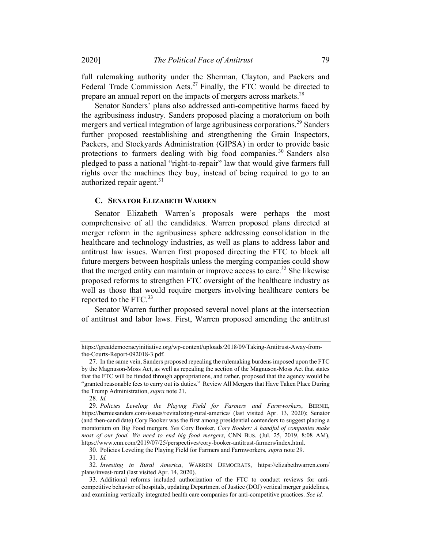full rulemaking authority under the Sherman, Clayton, and Packers and Federal Trade Commission Acts.<sup>27</sup> Finally, the FTC would be directed to prepare an annual report on the impacts of mergers across markets.<sup>28</sup>

Senator Sanders' plans also addressed anti-competitive harms faced by the agribusiness industry. Sanders proposed placing a moratorium on both mergers and vertical integration of large agribusiness corporations.<sup>29</sup> Sanders further proposed reestablishing and strengthening the Grain Inspectors, Packers, and Stockyards Administration (GIPSA) in order to provide basic protections to farmers dealing with big food companies. <sup>30</sup> Sanders also pledged to pass a national "right-to-repair" law that would give farmers full rights over the machines they buy, instead of being required to go to an authorized repair agent. $31$ 

#### C. SENATOR ELIZABETH WARREN

Senator Elizabeth Warren's proposals were perhaps the most comprehensive of all the candidates. Warren proposed plans directed at merger reform in the agribusiness sphere addressing consolidation in the healthcare and technology industries, as well as plans to address labor and antitrust law issues. Warren first proposed directing the FTC to block all future mergers between hospitals unless the merging companies could show that the merged entity can maintain or improve access to care.<sup>32</sup> She likewise proposed reforms to strengthen FTC oversight of the healthcare industry as well as those that would require mergers involving healthcare centers be reported to the FTC.<sup>33</sup>

Senator Warren further proposed several novel plans at the intersection of antitrust and labor laws. First, Warren proposed amending the antitrust

28. Id.

31. Id.

https://greatdemocracyinitiative.org/wp-content/uploads/2018/09/Taking-Antitrust-Away-fromthe-Courts-Report-092018-3.pdf.

<sup>27.</sup> In the same vein, Sanders proposed repealing the rulemaking burdens imposed upon the FTC by the Magnuson-Moss Act, as well as repealing the section of the Magnuson-Moss Act that states that the FTC will be funded through appropriations, and rather, proposed that the agency would be "granted reasonable fees to carry out its duties." Review All Mergers that Have Taken Place During the Trump Administration, supra note 21.

<sup>29</sup>. Policies Leveling the Playing Field for Farmers and Farmworkers, BERNIE, https://berniesanders.com/issues/revitalizing-rural-america/ (last visited Apr. 13, 2020); Senator (and then-candidate) Cory Booker was the first among presidential contenders to suggest placing a moratorium on Big Food mergers. See Cory Booker, Cory Booker: A handful of companies make most of our food. We need to end big food mergers, CNN BUS. (Jul. 25, 2019, 8:08 AM), https://www.cnn.com/2019/07/25/perspectives/cory-booker-antitrust-farmers/index.html.

<sup>30.</sup> Policies Leveling the Playing Field for Farmers and Farmworkers, supra note 29.

<sup>32</sup>. Investing in Rural America, WARREN DEMOCRATS, https://elizabethwarren.com/ plans/invest-rural (last visited Apr. 14, 2020).

<sup>33.</sup> Additional reforms included authorization of the FTC to conduct reviews for anticompetitive behavior of hospitals, updating Department of Justice (DOJ) vertical merger guidelines, and examining vertically integrated health care companies for anti-competitive practices. See id.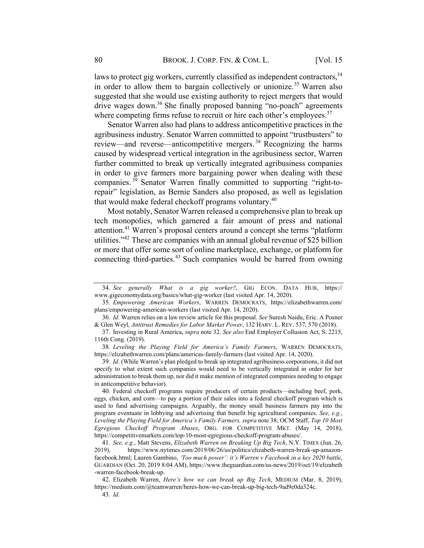laws to protect gig workers, currently classified as independent contractors,  $34$ in order to allow them to bargain collectively or unionize.<sup>35</sup> Warren also suggested that she would use existing authority to reject mergers that would drive wages down.<sup>36</sup> She finally proposed banning "no-poach" agreements where competing firms refuse to recruit or hire each other's employees. $37$ 

Senator Warren also had plans to address anticompetitive practices in the agribusiness industry. Senator Warren committed to appoint "trustbusters" to review—and reverse—anticompetitive mergers.<sup>38</sup> Recognizing the harms caused by widespread vertical integration in the agribusiness sector, Warren further committed to break up vertically integrated agribusiness companies in order to give farmers more bargaining power when dealing with these companies.  $39$  Senator Warren finally committed to supporting "right-torepair" legislation, as Bernie Sanders also proposed, as well as legislation that would make federal checkoff programs voluntary.<sup>40</sup>

Most notably, Senator Warren released a comprehensive plan to break up tech monopolies, which garnered a fair amount of press and national attention.41 Warren's proposal centers around a concept she terms "platform utilities."<sup>42</sup> These are companies with an annual global revenue of \$25 billion or more that offer some sort of online marketplace, exchange, or platform for connecting third-parties.<sup>43</sup> Such companies would be barred from owning

<sup>34</sup>. See generally What is a gig worker?, GIG ECON. DATA HUB, https:// www.gigeconomydata.org/basics/what-gig-worker (last visited Apr. 14, 2020).

<sup>35</sup>. Empowering American Workers, WARREN DEMOCRATS, https://elizabethwarren.com/ plans/empowering-american-workers (last visited Apr. 14, 2020).

<sup>36</sup>. Id. Warren relies on a law review article for this proposal. See Suresh Naidu, Eric. A Posner & Glen Weyl, Antitrust Remedies for Labor Market Power, 132 HARV. L. REV. 537, 570 (2018).

<sup>37.</sup> Investing in Rural America, supra note 32. See also End Employer Collusion Act, S. 2215, 116th Cong. (2019).

<sup>38</sup>. Leveling the Playing Field for America's Family Farmers, WARREN DEMOCRATS, https://elizabethwarren.com/plans/americas-family-farmers (last visited Apr. 14, 2020).

<sup>39</sup>. Id. (While Warren's plan pledged to break up integrated agribusiness corporations, it did not specify to what extent such companies would need to be vertically integrated in order for her administration to break them up, nor did it make mention of integrated companies needing to engage in anticompetitive behavior).

<sup>40.</sup> Federal checkoff programs require producers of certain products—including beef, pork, eggs, chicken, and corn—to pay a portion of their sales into a federal checkoff program which is used to fund advertising campaigns. Arguably, the money small business farmers pay into the program eventuate in lobbying and advertising that benefit big agricultural companies. See, e.g., Leveling the Playing Field for America's Family Farmers, supra note 38; OCM Staff, Top 10 Most Egregious Checkoff Program Abuses, ORG. FOR COMPETITIVE MKT. (May 14, 2018), https://competitivemarkets.com/top-10-most-egregious-checkoff-program-abuses/.

<sup>41</sup>. See, e.g., Matt Stevens, Elizabeth Warren on Breaking Up Big Tech, N.Y. TIMES (Jun. 26, 2019), https://www.nytimes.com/2019/06/26/us/politics/elizabeth-warren-break-up-amazonfacebook.html; Lauren Gambino, 'Too much power': it's Warren v Facebook in a key 2020 battle, GUARDIAN (Oct. 20, 2019 8:04 AM), https://www.theguardian.com/us-news/2019/oct/19/elizabeth -warren-facebook-break-up.

<sup>42.</sup> Elizabeth Warren, Here's how we can break up Big Tech, MEDIUM (Mar. 8, 2019), https://medium.com/@teamwarren/heres-how-we-can-break-up-big-tech-9ad9e0da324c. 43. Id.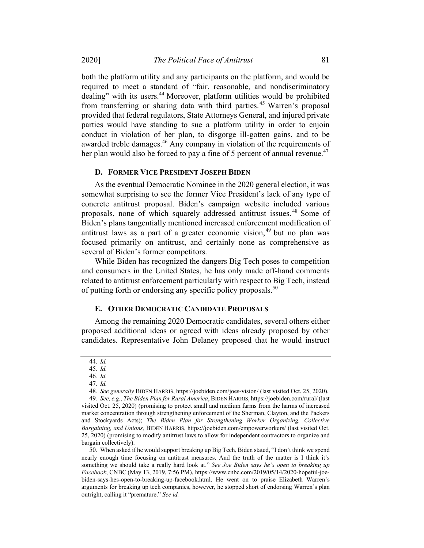both the platform utility and any participants on the platform, and would be required to meet a standard of "fair, reasonable, and nondiscriminatory dealing" with its users.<sup>44</sup> Moreover, platform utilities would be prohibited from transferring or sharing data with third parties. <sup>45</sup> Warren's proposal provided that federal regulators, State Attorneys General, and injured private parties would have standing to sue a platform utility in order to enjoin conduct in violation of her plan, to disgorge ill-gotten gains, and to be awarded treble damages.<sup>46</sup> Any company in violation of the requirements of her plan would also be forced to pay a fine of 5 percent of annual revenue.<sup>47</sup>

#### D. FORMER VICE PRESIDENT JOSEPH BIDEN

As the eventual Democratic Nominee in the 2020 general election, it was somewhat surprising to see the former Vice President's lack of any type of concrete antitrust proposal. Biden's campaign website included various proposals, none of which squarely addressed antitrust issues. <sup>48</sup> Some of Biden's plans tangentially mentioned increased enforcement modification of antitrust laws as a part of a greater economic vision,  $49$  but no plan was focused primarily on antitrust, and certainly none as comprehensive as several of Biden's former competitors.

While Biden has recognized the dangers Big Tech poses to competition and consumers in the United States, he has only made off-hand comments related to antitrust enforcement particularly with respect to Big Tech, instead of putting forth or endorsing any specific policy proposals.<sup>50</sup>

### E. OTHER DEMOCRATIC CANDIDATE PROPOSALS

Among the remaining 2020 Democratic candidates, several others either proposed additional ideas or agreed with ideas already proposed by other candidates. Representative John Delaney proposed that he would instruct

46. Id.

50. When asked if he would support breaking up Big Tech, Biden stated, "I don't think we spend nearly enough time focusing on antitrust measures. And the truth of the matter is I think it's something we should take a really hard look at." See Joe Biden says he's open to breaking up Facebook, CNBC (May 13, 2019, 7:56 PM), https://www.cnbc.com/2019/05/14/2020-hopeful-joebiden-says-hes-open-to-breaking-up-facebook.html. He went on to praise Elizabeth Warren's arguments for breaking up tech companies, however, he stopped short of endorsing Warren's plan outright, calling it "premature." See id.

<sup>44</sup>. Id.

<sup>45</sup>. Id.

<sup>47</sup>. Id.

<sup>48</sup>. See generally BIDEN HARRIS, https://joebiden.com/joes-vision/ (last visited Oct. 25, 2020).

<sup>49</sup>. See, e.g., The Biden Plan for Rural America, BIDEN HARRIS, https://joebiden.com/rural/ (last visited Oct. 25, 2020) (promising to protect small and medium farms from the harms of increased market concentration through strengthening enforcement of the Sherman, Clayton, and the Packers and Stockyards Acts); The Biden Plan for Strengthening Worker Organizing, Collective Bargaining, and Unions, BIDEN HARRIS, https://joebiden.com/empowerworkers/ (last visited Oct. 25, 2020) (promising to modify antitrust laws to allow for independent contractors to organize and bargain collectively).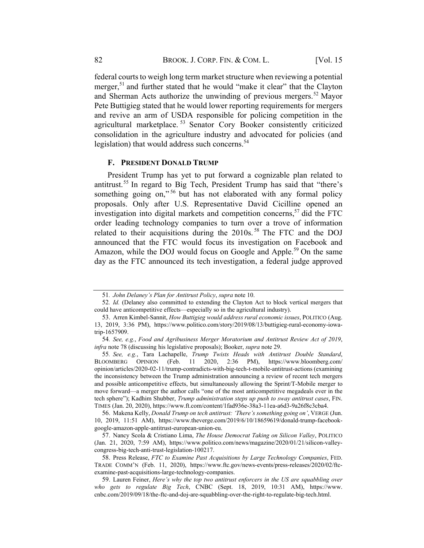federal courts to weigh long term market structure when reviewing a potential merger,<sup>51</sup> and further stated that he would "make it clear" that the Clayton and Sherman Acts authorize the unwinding of previous mergers.<sup>52</sup> Mayor Pete Buttigieg stated that he would lower reporting requirements for mergers and revive an arm of USDA responsible for policing competition in the agricultural marketplace. <sup>53</sup> Senator Cory Booker consistently criticized consolidation in the agriculture industry and advocated for policies (and legislation) that would address such concerns.<sup>54</sup>

#### F. PRESIDENT DONALD TRUMP

President Trump has yet to put forward a cognizable plan related to antitrust.<sup>55</sup> In regard to Big Tech, President Trump has said that "there's something going on,"<sup>56</sup> but has not elaborated with any formal policy proposals. Only after U.S. Representative David Cicilline opened an investigation into digital markets and competition concerns,  $57$  did the FTC order leading technology companies to turn over a trove of information related to their acquisitions during the  $2010s$ .<sup>58</sup> The FTC and the DOJ announced that the FTC would focus its investigation on Facebook and Amazon, while the DOJ would focus on Google and Apple.<sup>59</sup> On the same day as the FTC announced its tech investigation, a federal judge approved

<sup>51</sup>. John Delaney's Plan for Antitrust Policy, supra note 10.

<sup>52</sup>. Id. (Delaney also committed to extending the Clayton Act to block vertical mergers that could have anticompetitive effects—especially so in the agricultural industry).

<sup>53.</sup> Arren Kimbel-Sannit, How Buttigieg would address rural economic issues, POLITICO (Aug. 13, 2019, 3:36 PM), https://www.politico.com/story/2019/08/13/buttigieg-rural-economy-iowatrip-1657909.

<sup>54</sup>. See, e.g., Food and Agribusiness Merger Moratorium and Antitrust Review Act of 2019, infra note 78 (discussing his legislative proposals); Booker, supra note 29.

<sup>55</sup>. See, e.g., Tara Lachapelle, Trump Twists Heads with Antitrust Double Standard, BLOOMBERG OPINION (Feb. 11 2020, 2:36 PM), https://www.bloomberg.com/ opinion/articles/2020-02-11/trump-contradicts-with-big-tech-t-mobile-antitrust-actions (examining the inconsistency between the Trump administration announcing a review of recent tech mergers and possible anticompetitive effects, but simultaneously allowing the Sprint/T-Mobile merger to move forward—a merger the author calls "one of the most anticompetitive megadeals ever in the tech sphere"); Kadhim Shubber, Trump administration steps up push to sway antitrust cases, FIN. TIMES (Jan. 20, 2020), https://www.ft.com/content/1fad936e-38a3-11ea-a6d3-9a26f8c3cba4.

<sup>56.</sup> Makena Kelly, Donald Trump on tech antitrust: 'There's something going on', VERGE (Jun. 10, 2019, 11:51 AM), https://www.theverge.com/2019/6/10/18659619/donald-trump-facebookgoogle-amazon-apple-antitrust-european-union-eu.

<sup>57.</sup> Nancy Scola & Cristiano Lima, The House Democrat Taking on Silicon Valley, POLITICO (Jan. 21, 2020, 7:59 AM), https://www.politico.com/news/magazine/2020/01/21/silicon-valleycongress-big-tech-anti-trust-legislation-100217.

<sup>58.</sup> Press Release, FTC to Examine Past Acquisitions by Large Technology Companies, FED. TRADE COMM'N (Feb. 11, 2020), https://www.ftc.gov/news-events/press-releases/2020/02/ftcexamine-past-acquisitions-large-technology-companies.

<sup>59.</sup> Lauren Feiner, Here's why the top two antitrust enforcers in the US are squabbling over who gets to regulate Big Tech, CNBC (Sept. 18, 2019, 10:31 AM), https://www. cnbc.com/2019/09/18/the-ftc-and-doj-are-squabbling-over-the-right-to-regulate-big-tech.html.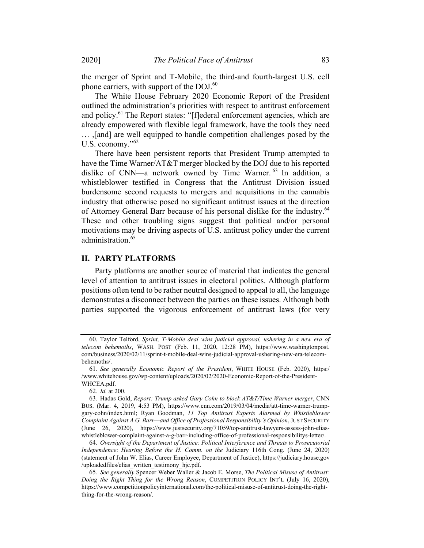the merger of Sprint and T-Mobile, the third-and fourth-largest U.S. cell phone carriers, with support of the DOJ.<sup>60</sup>

The White House February 2020 Economic Report of the President outlined the administration's priorities with respect to antitrust enforcement and policy.<sup>61</sup> The Report states: "[f]ederal enforcement agencies, which are already empowered with flexible legal framework, have the tools they need … ,[and] are well equipped to handle competition challenges posed by the U.S. economy."<sup>62</sup>

There have been persistent reports that President Trump attempted to have the Time Warner/AT&T merger blocked by the DOJ due to his reported dislike of CNN—a network owned by Time Warner.<sup>63</sup> In addition, a whistleblower testified in Congress that the Antitrust Division issued burdensome second requests to mergers and acquisitions in the cannabis industry that otherwise posed no significant antitrust issues at the direction of Attorney General Barr because of his personal dislike for the industry.<sup>64</sup> These and other troubling signs suggest that political and/or personal motivations may be driving aspects of U.S. antitrust policy under the current administration.<sup>65</sup>

## II. PARTY PLATFORMS

Party platforms are another source of material that indicates the general level of attention to antitrust issues in electoral politics. Although platform positions often tend to be rather neutral designed to appeal to all, the language demonstrates a disconnect between the parties on these issues. Although both parties supported the vigorous enforcement of antitrust laws (for very

64. Oversight of the Department of Justice: Political Interference and Threats to Prosecutorial Independence: Hearing Before the H. Comm. on the Judiciary 116th Cong. (June 24, 2020) (statement of John W. Elias, Career Employee, Department of Justice), https://judiciary.house.gov /uploadedfiles/elias\_written\_testimony\_hjc.pdf.

<sup>60.</sup> Taylor Telford, Sprint, T-Mobile deal wins judicial approval, ushering in a new era of telecom behemoths, WASH. POST (Feb. 11, 2020, 12:28 PM), https://www.washingtonpost. com/business/2020/02/11/sprint-t-mobile-deal-wins-judicial-approval-ushering-new-era-telecombehemoths/.

<sup>61</sup>. See generally Economic Report of the President, WHITE HOUSE (Feb. 2020), https:/ /www.whitehouse.gov/wp-content/uploads/2020/02/2020-Economic-Report-of-the-President-WHCEA.pdf.

<sup>62</sup>. Id. at 200.

<sup>63.</sup> Hadas Gold, Report: Trump asked Gary Cohn to block AT&T/Time Warner merger, CNN BUS. (Mar. 4, 2019, 4:53 PM), https://www.cnn.com/2019/03/04/media/att-time-warner-trumpgary-cohn/index.html; Ryan Goodman, 11 Top Antitrust Experts Alarmed by Whistleblower Complaint Against A.G. Barr—and Office of Professional Responsibility's Opinion, JUST SECURITY (June 26, 2020), https://www.justsecurity.org/71059/top-antitrust-lawyers-assess-john-eliaswhistleblower-complaint-against-a-g-barr-including-office-of-professional-responsibilitys-letter/.

<sup>65</sup>. See generally Spencer Weber Waller & Jacob E. Morse, The Political Misuse of Antitrust: Doing the Right Thing for the Wrong Reason, COMPETITION POLICY INT'L (July 16, 2020), https://www.competitionpolicyinternational.com/the-political-misuse-of-antitrust-doing-the-rightthing-for-the-wrong-reason/.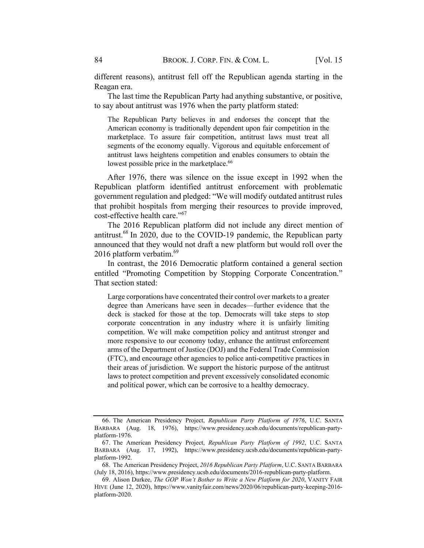different reasons), antitrust fell off the Republican agenda starting in the Reagan era.

The last time the Republican Party had anything substantive, or positive, to say about antitrust was 1976 when the party platform stated:

The Republican Party believes in and endorses the concept that the American economy is traditionally dependent upon fair competition in the marketplace. To assure fair competition, antitrust laws must treat all segments of the economy equally. Vigorous and equitable enforcement of antitrust laws heightens competition and enables consumers to obtain the lowest possible price in the marketplace.<sup>66</sup>

After 1976, there was silence on the issue except in 1992 when the Republican platform identified antitrust enforcement with problematic government regulation and pledged: "We will modify outdated antitrust rules that prohibit hospitals from merging their resources to provide improved, cost-effective health care."<sup>67</sup>

The 2016 Republican platform did not include any direct mention of antitrust.<sup>68</sup> In 2020, due to the COVID-19 pandemic, the Republican party announced that they would not draft a new platform but would roll over the 2016 platform verbatim. $^{69}$ 

In contrast, the 2016 Democratic platform contained a general section entitled "Promoting Competition by Stopping Corporate Concentration." That section stated:

Large corporations have concentrated their control over markets to a greater degree than Americans have seen in decades—further evidence that the deck is stacked for those at the top. Democrats will take steps to stop corporate concentration in any industry where it is unfairly limiting competition. We will make competition policy and antitrust stronger and more responsive to our economy today, enhance the antitrust enforcement arms of the Department of Justice (DOJ) and the Federal Trade Commission (FTC), and encourage other agencies to police anti-competitive practices in their areas of jurisdiction. We support the historic purpose of the antitrust laws to protect competition and prevent excessively consolidated economic and political power, which can be corrosive to a healthy democracy.

<sup>66.</sup> The American Presidency Project, Republican Party Platform of 1976, U.C. SANTA BARBARA (Aug. 18, 1976), https://www.presidency.ucsb.edu/documents/republican-partyplatform-1976.

<sup>67.</sup> The American Presidency Project, Republican Party Platform of 1992, U.C. SANTA BARBARA (Aug. 17, 1992), https://www.presidency.ucsb.edu/documents/republican-partyplatform-1992.

<sup>68.</sup> The American Presidency Project, 2016 Republican Party Platform, U.C. SANTA BARBARA (July 18, 2016), https://www.presidency.ucsb.edu/documents/2016-republican-party-platform.

<sup>69.</sup> Alison Durkee, The GOP Won't Bother to Write a New Platform for 2020, VANITY FAIR HIVE (June 12, 2020), https://www.vanityfair.com/news/2020/06/republican-party-keeping-2016 platform-2020.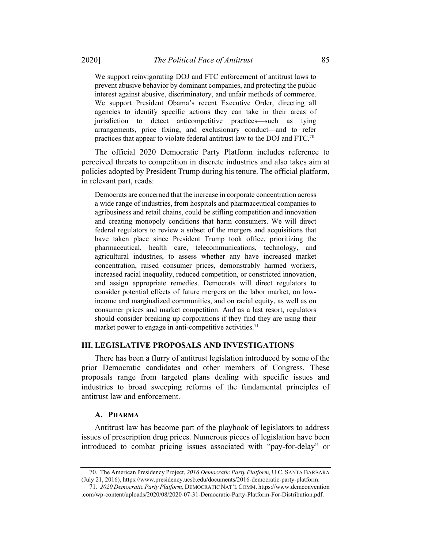We support reinvigorating DOJ and FTC enforcement of antitrust laws to prevent abusive behavior by dominant companies, and protecting the public interest against abusive, discriminatory, and unfair methods of commerce. We support President Obama's recent Executive Order, directing all agencies to identify specific actions they can take in their areas of jurisdiction to detect anticompetitive practices—such as tying arrangements, price fixing, and exclusionary conduct—and to refer practices that appear to violate federal antitrust law to the DOJ and FTC.70

The official 2020 Democratic Party Platform includes reference to perceived threats to competition in discrete industries and also takes aim at policies adopted by President Trump during his tenure. The official platform, in relevant part, reads:

Democrats are concerned that the increase in corporate concentration across a wide range of industries, from hospitals and pharmaceutical companies to agribusiness and retail chains, could be stifling competition and innovation and creating monopoly conditions that harm consumers. We will direct federal regulators to review a subset of the mergers and acquisitions that have taken place since President Trump took office, prioritizing the pharmaceutical, health care, telecommunications, technology, and agricultural industries, to assess whether any have increased market concentration, raised consumer prices, demonstrably harmed workers, increased racial inequality, reduced competition, or constricted innovation, and assign appropriate remedies. Democrats will direct regulators to consider potential effects of future mergers on the labor market, on lowincome and marginalized communities, and on racial equity, as well as on consumer prices and market competition. And as a last resort, regulators should consider breaking up corporations if they find they are using their market power to engage in anti-competitive activities.<sup>71</sup>

#### III. LEGISLATIVE PROPOSALS AND INVESTIGATIONS

There has been a flurry of antitrust legislation introduced by some of the prior Democratic candidates and other members of Congress. These proposals range from targeted plans dealing with specific issues and industries to broad sweeping reforms of the fundamental principles of antitrust law and enforcement.

#### A. PHARMA

Antitrust law has become part of the playbook of legislators to address issues of prescription drug prices. Numerous pieces of legislation have been introduced to combat pricing issues associated with "pay-for-delay" or

<sup>70.</sup> The American Presidency Project, 2016 Democratic Party Platform, U.C. SANTA BARBARA (July 21, 2016), https://www.presidency.ucsb.edu/documents/2016-democratic-party-platform.

<sup>71</sup>. 2020 Democratic Party Platform, DEMOCRATIC NAT'LCOMM. https://www.demconvention .com/wp-content/uploads/2020/08/2020-07-31-Democratic-Party-Platform-For-Distribution.pdf.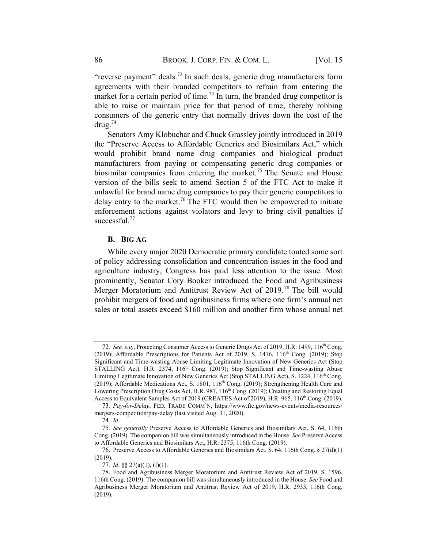"reverse payment" deals.<sup>72</sup> In such deals, generic drug manufacturers form agreements with their branded competitors to refrain from entering the market for a certain period of time.<sup>73</sup> In turn, the branded drug competitor is able to raise or maintain price for that period of time, thereby robbing consumers of the generic entry that normally drives down the cost of the  $\frac{d}{d}$ 

Senators Amy Klobuchar and Chuck Grassley jointly introduced in 2019 the "Preserve Access to Affordable Generics and Biosimilars Act," which would prohibit brand name drug companies and biological product manufacturers from paying or compensating generic drug companies or biosimilar companies from entering the market.<sup>75</sup> The Senate and House version of the bills seek to amend Section 5 of the FTC Act to make it unlawful for brand name drug companies to pay their generic competitors to delay entry to the market.<sup>76</sup> The FTC would then be empowered to initiate enforcement actions against violators and levy to bring civil penalties if successful.<sup>77</sup>

#### **B.** BIG AG

While every major 2020 Democratic primary candidate touted some sort of policy addressing consolidation and concentration issues in the food and agriculture industry, Congress has paid less attention to the issue. Most prominently, Senator Cory Booker introduced the Food and Agribusiness Merger Moratorium and Antitrust Review Act of 2019.<sup>78</sup> The bill would prohibit mergers of food and agribusiness firms where one firm's annual net sales or total assets exceed \$160 million and another firm whose annual net

<sup>72.</sup> See, e.g., Protecting Consumer Access to Generic Drugs Act of 2019, H.R. 1499, 116<sup>th</sup> Cong. (2019); Affordable Prescriptions for Patients Act of 2019, S.  $1416$ ,  $116<sup>th</sup>$  Cong. (2019); Stop Significant and Time-wasting Abuse Limiting Legitimate Innovation of New Generics Act (Stop STALLING Act), H.R.  $2374$ ,  $116<sup>th</sup>$  Cong. (2019); Stop Significant and Time-wasting Abuse Limiting Legitimate Innovation of New Generics Act (Stop STALLING Act), S. 1224, 116<sup>th</sup> Cong. (2019); Affordable Medications Act, S. 1801, 116<sup>th</sup> Cong. (2019); Strengthening Health Care and Lowering Prescription Drug Costs Act, H.R. 987, 116<sup>th</sup> Cong. (2019); Creating and Restoring Equal Access to Equivalent Samples Act of 2019 (CREATES Act of 2019), H.R. 965, 116<sup>th</sup> Cong. (2019).

<sup>73</sup>. Pay-for-Delay, FED. TRADE COMM'N, https://www.ftc.gov/news-events/media-resources/ mergers-competition/pay-delay (last visited Aug. 31, 2020).

<sup>74</sup>. Id.

<sup>75</sup>. See generally Preserve Access to Affordable Generics and Biosimilars Act, S. 64, 116th Cong. (2019). The companion bill was simultaneously introduced in the House. See Preserve Access to Affordable Generics and Biosimilars Act, H.R. 2375, 116th Cong. (2019).

<sup>76.</sup> Preserve Access to Affordable Generics and Biosimilars Act, S. 64, 116th Cong. § 27(d)(1) (2019).

<sup>77</sup>. Id. §§ 27(a)(1), (f)(1).

<sup>78.</sup> Food and Agribusiness Merger Moratorium and Antitrust Review Act of 2019, S. 1596, 116th Cong. (2019). The companion bill was simultaneously introduced in the House. See Food and Agribusiness Merger Moratorium and Antitrust Review Act of 2019, H.R. 2933, 116th Cong. (2019).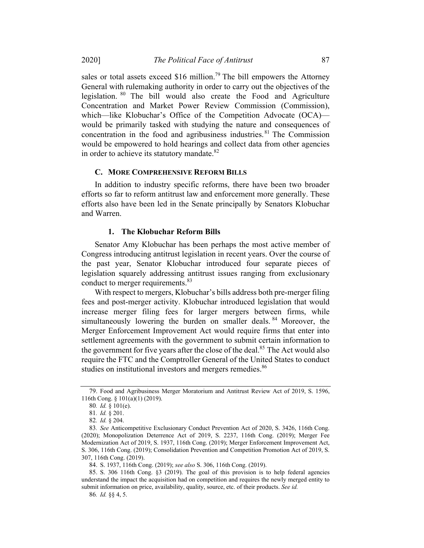sales or total assets exceed \$16 million.<sup>79</sup> The bill empowers the Attorney General with rulemaking authority in order to carry out the objectives of the legislation. <sup>80</sup> The bill would also create the Food and Agriculture Concentration and Market Power Review Commission (Commission), which—like Klobuchar's Office of the Competition Advocate (OCA) would be primarily tasked with studying the nature and consequences of concentration in the food and agribusiness industries. <sup>81</sup> The Commission would be empowered to hold hearings and collect data from other agencies in order to achieve its statutory mandate.<sup>82</sup>

#### C. MORE COMPREHENSIVE REFORM BILLS

In addition to industry specific reforms, there have been two broader efforts so far to reform antitrust law and enforcement more generally. These efforts also have been led in the Senate principally by Senators Klobuchar and Warren.

### 1. The Klobuchar Reform Bills

Senator Amy Klobuchar has been perhaps the most active member of Congress introducing antitrust legislation in recent years. Over the course of the past year, Senator Klobuchar introduced four separate pieces of legislation squarely addressing antitrust issues ranging from exclusionary conduct to merger requirements.<sup>83</sup>

With respect to mergers, Klobuchar's bills address both pre-merger filing fees and post-merger activity. Klobuchar introduced legislation that would increase merger filing fees for larger mergers between firms, while simultaneously lowering the burden on smaller deals.<sup>84</sup> Moreover, the Merger Enforcement Improvement Act would require firms that enter into settlement agreements with the government to submit certain information to the government for five years after the close of the deal.<sup>85</sup> The Act would also require the FTC and the Comptroller General of the United States to conduct studies on institutional investors and mergers remedies.<sup>86</sup>

84. S. 1937, 116th Cong. (2019); see also S. 306, 116th Cong. (2019).

<sup>79.</sup> Food and Agribusiness Merger Moratorium and Antitrust Review Act of 2019, S. 1596, 116th Cong. § 101(a)(1) (2019).

<sup>80</sup>. Id. § 101(e).

<sup>81</sup>. Id. § 201.

<sup>82</sup>. Id. § 204.

<sup>83</sup>. See Anticompetitive Exclusionary Conduct Prevention Act of 2020, S. 3426, 116th Cong. (2020); Monopolization Deterrence Act of 2019, S. 2237, 116th Cong. (2019); Merger Fee Modernization Act of 2019, S. 1937, 116th Cong. (2019); Merger Enforcement Improvement Act, S. 306, 116th Cong. (2019); Consolidation Prevention and Competition Promotion Act of 2019, S. 307, 116th Cong. (2019).

<sup>85.</sup> S. 306 116th Cong. §3 (2019). The goal of this provision is to help federal agencies understand the impact the acquisition had on competition and requires the newly merged entity to submit information on price, availability, quality, source, etc. of their products. See id.

<sup>86</sup>. Id. §§ 4, 5.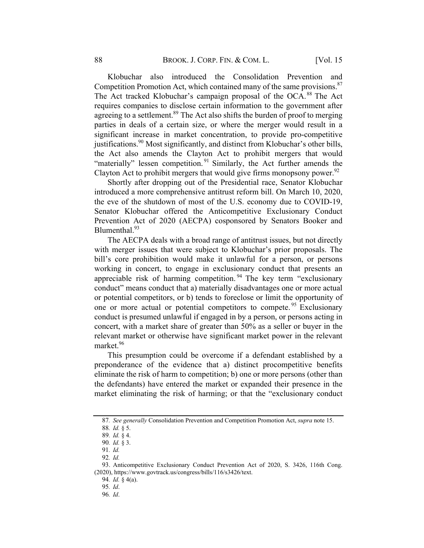Klobuchar also introduced the Consolidation Prevention and Competition Promotion Act, which contained many of the same provisions.<sup>87</sup> The Act tracked Klobuchar's campaign proposal of the OCA.<sup>88</sup> The Act requires companies to disclose certain information to the government after agreeing to a settlement.<sup>89</sup> The Act also shifts the burden of proof to merging parties in deals of a certain size, or where the merger would result in a significant increase in market concentration, to provide pro-competitive justifications.<sup>90</sup> Most significantly, and distinct from Klobuchar's other bills, the Act also amends the Clayton Act to prohibit mergers that would "materially" lessen competition.<sup>91</sup> Similarly, the Act further amends the Clayton Act to prohibit mergers that would give firms monopsony power.<sup>92</sup>

Shortly after dropping out of the Presidential race, Senator Klobuchar introduced a more comprehensive antitrust reform bill. On March 10, 2020, the eve of the shutdown of most of the U.S. economy due to COVID-19, Senator Klobuchar offered the Anticompetitive Exclusionary Conduct Prevention Act of 2020 (AECPA) cosponsored by Senators Booker and Blumenthal.<sup>93</sup>

The AECPA deals with a broad range of antitrust issues, but not directly with merger issues that were subject to Klobuchar's prior proposals. The bill's core prohibition would make it unlawful for a person, or persons working in concert, to engage in exclusionary conduct that presents an appreciable risk of harming competition.<sup>94</sup> The key term "exclusionary" conduct" means conduct that a) materially disadvantages one or more actual or potential competitors, or b) tends to foreclose or limit the opportunity of one or more actual or potential competitors to compete.<sup>95</sup> Exclusionary conduct is presumed unlawful if engaged in by a person, or persons acting in concert, with a market share of greater than 50% as a seller or buyer in the relevant market or otherwise have significant market power in the relevant market. 96

This presumption could be overcome if a defendant established by a preponderance of the evidence that a) distinct procompetitive benefits eliminate the risk of harm to competition; b) one or more persons (other than the defendants) have entered the market or expanded their presence in the market eliminating the risk of harming; or that the "exclusionary conduct

92. Id.

<sup>87.</sup> See generally Consolidation Prevention and Competition Promotion Act, supra note 15.

<sup>88</sup>. Id. § 5.

<sup>89</sup>. Id. § 4.

<sup>90</sup>. Id. § 3.

<sup>91</sup>. Id.

<sup>93.</sup> Anticompetitive Exclusionary Conduct Prevention Act of 2020, S. 3426, 116th Cong. (2020), https://www.govtrack.us/congress/bills/116/s3426/text.

<sup>94</sup>. Id. § 4(a).

<sup>95</sup>. Id.

<sup>96</sup>. Id.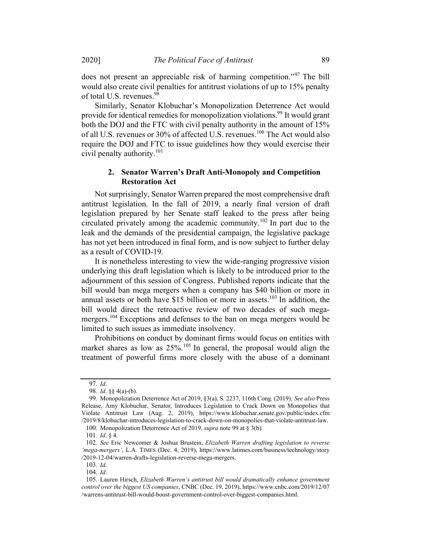does not present an appreciable risk of harming competition."<sup>97</sup> The bill would also create civil penalties for antitrust violations of up to 15% penalty of total U.S. revenues.<sup>98</sup>

Similarly, Senator Klobuchar's Monopolization Deterrence Act would provide for identical remedies for monopolization violations.99 It would grant both the DOJ and the FTC with civil penalty authority in the amount of 15% of all U.S. revenues or 30% of affected U.S. revenues.<sup>100</sup> The Act would also require the DOJ and FTC to issue guidelines how they would exercise their civil penalty authority.<sup>101</sup>

## 2. Senator Warren's Draft Anti-Monopoly and Competition **Restoration Act**

Not surprisingly, Senator Warren prepared the most comprehensive draft antitrust legislation. In the fall of 2019, a nearly final version of draft legislation prepared by her Senate staff leaked to the press after being circulated privately among the academic community.<sup>102</sup> In part due to the leak and the demands of the presidential campaign, the legislative package has not yet been introduced in final form, and is now subject to further delay as a result of COVID-19.

It is nonetheless interesting to view the wide-ranging progressive vision underlying this draft legislation which is likely to be introduced prior to the adjournment of this session of Congress. Published reports indicate that the bill would ban mega mergers when a company has \$40 billion or more in annual assets or both have \$15 billion or more in assets.<sup>103</sup> In addition, the bill would direct the retroactive review of two decades of such megamergers.<sup>104</sup> Exceptions and defenses to the ban on mega mergers would be limited to such issues as immediate insolvency.

Prohibitions on conduct by dominant firms would focus on entities with market shares as low as  $25\%$ .<sup>105</sup> In general, the proposal would align the treatment of powerful firms more closely with the abuse of a dominant

<sup>97</sup>. Id.

<sup>98</sup>. Id. §§ 4(a)-(b).

<sup>99.</sup> Monopolization Deterrence Act of 2019, §3(a), S. 2237, 116th Cong. (2019); See also Press Release, Amy Klobuchar, Senator, Introduces Legislation to Crack Down on Monopolies that Violate Antitrust Law (Aug. 2, 2019), https://www.klobuchar.senate.gov/public/index.cfm /2019/8/klobuchar-introduces-legislation-to-crack-down-on-monopolies-that-violate-antitrust-law. 100. Monopolization Deterrence Act of 2019, supra note 99 at § 3(b).

<sup>101</sup>. Id. § 4.

<sup>102.</sup> See Eric Newcomer & Joshua Brustein, Elizabeth Warren drafting legislation to reverse 'mega-mergers', L.A. TIMES (Dec. 4, 2019), https://www.latimes.com/business/technology/story /2019-12-04/warren-drafts-legislation-reverse-mega-mergers.

<sup>103</sup>. Id.

<sup>104</sup>. Id.

<sup>105.</sup> Lauren Hirsch, Elizabeth Warren's antitrust bill would dramatically enhance government control over the biggest US companies, CNBC (Dec. 19, 2019), https://www.cnbc.com/2019/12/07 /warrens-antitrust-bill-would-boost-government-control-over-biggest-companies.html.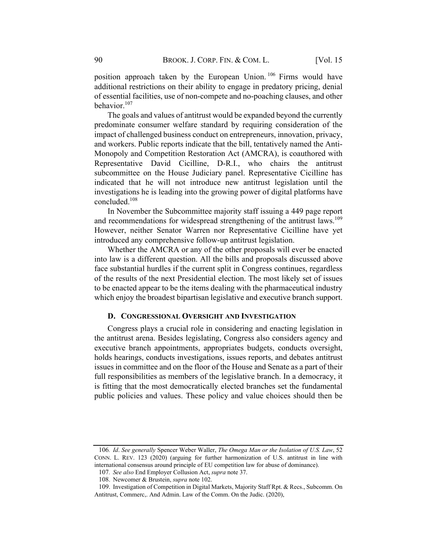position approach taken by the European Union. <sup>106</sup> Firms would have additional restrictions on their ability to engage in predatory pricing, denial of essential facilities, use of non-compete and no-poaching clauses, and other behavior.<sup>107</sup>

The goals and values of antitrust would be expanded beyond the currently predominate consumer welfare standard by requiring consideration of the impact of challenged business conduct on entrepreneurs, innovation, privacy, and workers. Public reports indicate that the bill, tentatively named the Anti-Monopoly and Competition Restoration Act (AMCRA), is coauthored with Representative David Cicilline, D-R.I., who chairs the antitrust subcommittee on the House Judiciary panel. Representative Cicilline has indicated that he will not introduce new antitrust legislation until the investigations he is leading into the growing power of digital platforms have concluded. 108

In November the Subcommittee majority staff issuing a 449 page report and recommendations for widespread strengthening of the antitrust laws.<sup>109</sup> However, neither Senator Warren nor Representative Cicilline have yet introduced any comprehensive follow-up antitrust legislation.

Whether the AMCRA or any of the other proposals will ever be enacted into law is a different question. All the bills and proposals discussed above face substantial hurdles if the current split in Congress continues, regardless of the results of the next Presidential election. The most likely set of issues to be enacted appear to be the items dealing with the pharmaceutical industry which enjoy the broadest bipartisan legislative and executive branch support.

#### D. CONGRESSIONAL OVERSIGHT AND INVESTIGATION

Congress plays a crucial role in considering and enacting legislation in the antitrust arena. Besides legislating, Congress also considers agency and executive branch appointments, appropriates budgets, conducts oversight, holds hearings, conducts investigations, issues reports, and debates antitrust issues in committee and on the floor of the House and Senate as a part of their full responsibilities as members of the legislative branch. In a democracy, it is fitting that the most democratically elected branches set the fundamental public policies and values. These policy and value choices should then be

<sup>106</sup>. Id. See generally Spencer Weber Waller, The Omega Man or the Isolation of U.S. Law, 52 CONN. L. REV. 123 (2020) (arguing for further harmonization of U.S. antitrust in line with international consensus around principle of EU competition law for abuse of dominance).

<sup>107</sup>. See also End Employer Collusion Act, supra note 37.

<sup>108.</sup> Newcomer & Brustein, supra note 102.

<sup>109.</sup> Investigation of Competition in Digital Markets, Majority Staff Rpt. & Recs., Subcomm. On Antitrust, Commerc,. And Admin. Law of the Comm. On the Judic. (2020),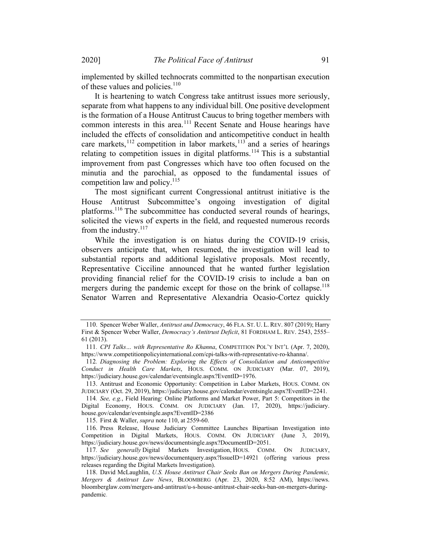implemented by skilled technocrats committed to the nonpartisan execution of these values and policies.<sup>110</sup>

It is heartening to watch Congress take antitrust issues more seriously, separate from what happens to any individual bill. One positive development is the formation of a House Antitrust Caucus to bring together members with common interests in this area.<sup>111</sup> Recent Senate and House hearings have included the effects of consolidation and anticompetitive conduct in health care markets,  $^{112}$  competition in labor markets,  $^{113}$  and a series of hearings relating to competition issues in digital platforms.<sup>114</sup> This is a substantial improvement from past Congresses which have too often focused on the minutia and the parochial, as opposed to the fundamental issues of competition law and policy. $^{115}$ 

The most significant current Congressional antitrust initiative is the House Antitrust Subcommittee's ongoing investigation of digital platforms.<sup>116</sup> The subcommittee has conducted several rounds of hearings, solicited the views of experts in the field, and requested numerous records from the industry. $^{117}$ 

While the investigation is on hiatus during the COVID-19 crisis, observers anticipate that, when resumed, the investigation will lead to substantial reports and additional legislative proposals. Most recently, Representative Cicciline announced that he wanted further legislation providing financial relief for the COVID-19 crisis to include a ban on mergers during the pandemic except for those on the brink of collapse.<sup>118</sup> Senator Warren and Representative Alexandria Ocasio-Cortez quickly

<sup>110.</sup> Spencer Weber Waller, Antitrust and Democracy, 46 FLA. ST. U. L. REV. 807 (2019); Harry First & Spencer Weber Waller, *Democracy's Antitrust Deficit*, 81 FORDHAM L. REV. 2543, 2555– 61 (2013).

<sup>111.</sup> CPI Talks... with Representative Ro Khanna, COMPETITION POL'Y INT'L (Apr. 7, 2020), https://www.competitionpolicyinternational.com/cpi-talks-with-representative-ro-khanna/.

<sup>112</sup>. Diagnosing the Problem: Exploring the Effects of Consolidation and Anticompetitive Conduct in Health Care Markets, HOUS. COMM. ON JUDICIARY (Mar. 07, 2019), https://judiciary.house.gov/calendar/eventsingle.aspx?EventID=1976.

<sup>113.</sup> Antitrust and Economic Opportunity: Competition in Labor Markets, HOUS. COMM. ON JUDICIARY (Oct. 29, 2019), https://judiciary.house.gov/calendar/eventsingle.aspx?EventID=2241.

<sup>114</sup>. See, e.g., Field Hearing: Online Platforms and Market Power, Part 5: Competitors in the Digital Economy, HOUS. COMM. ON JUDICIARY (Jan. 17, 2020), https://judiciary. house.gov/calendar/eventsingle.aspx?EventID=2386

<sup>115.</sup> First & Waller, supra note 110, at 2559-60.

<sup>116.</sup> Press Release, House Judiciary Committee Launches Bipartisan Investigation into Competition in Digital Markets, HOUS. COMM. ON JUDICIARY (June 3, 2019), https://judiciary.house.gov/news/documentsingle.aspx?DocumentID=2051.

<sup>117.</sup> See generally Digital Markets Investigation, HOUS. COMM. ON JUDICIARY, https://judiciary.house.gov/news/documentquery.aspx?IssueID=14921 (offering various press releases regarding the Digital Markets Investigation).

<sup>118.</sup> David McLaughlin, U.S. House Antitrust Chair Seeks Ban on Mergers During Pandemic, Mergers & Antitrust Law News, BLOOMBERG (Apr. 23, 2020, 8:52 AM), https://news. bloomberglaw.com/mergers-and-antitrust/u-s-house-antitrust-chair-seeks-ban-on-mergers-duringpandemic.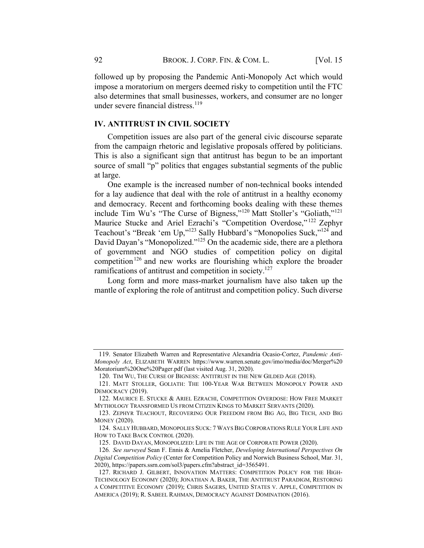followed up by proposing the Pandemic Anti-Monopoly Act which would impose a moratorium on mergers deemed risky to competition until the FTC also determines that small businesses, workers, and consumer are no longer under severe financial distress.<sup>119</sup>

## IV. ANTITRUST IN CIVIL SOCIETY

Competition issues are also part of the general civic discourse separate from the campaign rhetoric and legislative proposals offered by politicians. This is also a significant sign that antitrust has begun to be an important source of small "p" politics that engages substantial segments of the public at large.

One example is the increased number of non-technical books intended for a lay audience that deal with the role of antitrust in a healthy economy and democracy. Recent and forthcoming books dealing with these themes include Tim Wu's "The Curse of Bigness,"<sup>120</sup> Matt Stoller's "Goliath,"<sup>121</sup> Maurice Stucke and Ariel Ezrachi's "Competition Overdose,"<sup>122</sup> Zephyr Teachout's "Break 'em Up,"123 Sally Hubbard's "Monopolies Suck,"124 and David Dayan's "Monopolized."<sup>125</sup> On the academic side, there are a plethora of government and NGO studies of competition policy on digital competition<sup>126</sup> and new works are flourishing which explore the broader ramifications of antitrust and competition in society.<sup>127</sup>

Long form and more mass-market journalism have also taken up the mantle of exploring the role of antitrust and competition policy. Such diverse

<sup>119.</sup> Senator Elizabeth Warren and Representative Alexandria Ocasio-Cortez, Pandemic Anti-Monopoly Act, ELIZABETH WARREN https://www.warren.senate.gov/imo/media/doc/Merger%20 Moratorium%20One%20Pager.pdf (last visited Aug. 31, 2020).

<sup>120.</sup> TIM WU, THE CURSE OF BIGNESS: ANTITRUST IN THE NEW GILDED AGE (2018).

<sup>121.</sup> MATT STOLLER, GOLIATH: THE 100-YEAR WAR BETWEEN MONOPOLY POWER AND DEMOCRACY (2019).

<sup>122.</sup> MAURICE E. STUCKE & ARIEL EZRACHI, COMPETITION OVERDOSE: HOW FREE MARKET MYTHOLOGY TRANSFORMED US FROM CITIZEN KINGS TO MARKET SERVANTS (2020).

<sup>123.</sup> ZEPHYR TEACHOUT, RECOVERING OUR FREEDOM FROM BIG AG, BIG TECH, AND BIG MONEY (2020).

<sup>124.</sup> SALLY HUBBARD, MONOPOLIES SUCK: 7 WAYS BIG CORPORATIONSRULE YOUR LIFE AND HOW TO TAKE BACK CONTROL (2020).

<sup>125.</sup> DAVID DAYAN, MONOPOLIZED: LIFE IN THE AGE OF CORPORATE POWER (2020).

<sup>126</sup>. See surveyed Sean F. Ennis & Amelia Fletcher, Developing International Perspectives On Digital Competition Policy (Center for Competition Policy and Norwich Business School, Mar. 31, 2020), https://papers.ssrn.com/sol3/papers.cfm?abstract\_id=3565491.

<sup>127.</sup> RICHARD J. GILBERT, INNOVATION MATTERS: COMPETITION POLICY FOR THE HIGH-TECHNOLOGY ECONOMY (2020); JONATHAN A. BAKER, THE ANTITRUST PARADIGM, RESTORING A COMPETITIVE ECONOMY (2019); CHRIS SAGERS, UNITED STATES V. APPLE, COMPETITION IN AMERICA (2019); R. SABEEL RAHMAN, DEMOCRACY AGAINST DOMINATION (2016).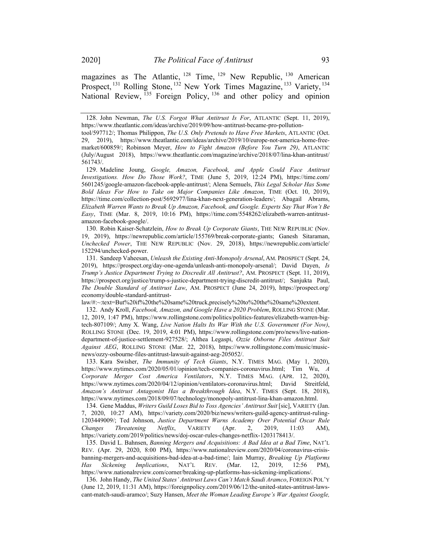magazines as The Atlantic, <sup>128</sup> Time, <sup>129</sup> New Republic, <sup>130</sup> American Prospect, <sup>131</sup> Rolling Stone, <sup>132</sup> New York Times Magazine, <sup>133</sup> Variety, <sup>134</sup> National Review, <sup>135</sup> Foreign Policy, <sup>136</sup> and other policy and opinion

130. Robin Kaiser-Schatzlein, How to Break Up Corporate Giants, THE NEW REPUBLIC (Nov. 19, 2019), https://newrepublic.com/article/155769/break-corporate-giants; Ganesh Sitaraman, Unchecked Power, THE NEW REPUBLIC (Nov. 29, 2018), https://newrepublic.com/article/ 152294/unchecked-power.

131. Sandeep Vaheesan, Unleash the Existing Anti-Monopoly Arsenal, AM. PROSPECT (Sept. 24, 2019), https://prospect.org/day-one-agenda/unleash-anti-monopoly-arsenal/; David Dayen, Is Trump's Justice Department Trying to Discredit All Antitrust?, AM. PROSPECT (Sept. 11, 2019), https://prospect.org/justice/trump-s-justice-department-trying-discredit-antitrust/; Sanjukta Paul, The Double Standard of Antitrust Law, AM. PROSPECT (June 24, 2019), https://prospect.org/ economy/double-standard-antitrust-

law/#:~:text=But%20if%20the%20same%20truck,precisely%20to%20the%20same%20extent.

132. Andy Kroll, Facebook, Amazon, and Google Have a 2020 Problem, ROLLING STONE (Mar. 12, 2019, 1:47 PM), https://www.rollingstone.com/politics/politics-features/elizabeth-warren-bigtech-807109/; Amy X. Wang, Live Nation Halts Its War With the U.S. Government (For Now), ROLLING STONE (Dec. 19, 2019, 4:01 PM), https://www.rollingstone.com/pro/news/live-nationdepartment-of-justice-settlement-927528/; Althea Legaspi, Ozzie Osborne Files Antitrust Suit Against AEG, ROLLING STONE (Mar. 22, 2018), https://www.rollingstone.com/music/musicnews/ozzy-osbourne-files-antitrust-lawsuit-against-aeg-205052/.

133. Kara Swisher, The Immunity of Tech Giants, N.Y. TIMES MAG. (May 1, 2020), https://www.nytimes.com/2020/05/01/opinion/tech-companies-coronavirus.html; Tim Wu, A Corporate Merger Cost America Ventilators, N.Y. TIMES MAG. (APR. 12, 2020), https://www.nytimes.com/2020/04/12/opinion/ventilators-coronavirus.html; David Streitfeld, Amazon's Antitrust Antagonist Has a Breakthrough Idea, N.Y. TIMES (Sept. 18, 2018), https://www.nytimes.com/2018/09/07/technology/monopoly-antitrust-lina-khan-amazon.html.

134. Gene Maddus, Writers Guild Loses Bid to Toss Agencies' Antitrust Suit [sic], VARIETY (Jan. 7, 2020, 10:27 AM), https://variety.com/2020/biz/news/writers-guild-agency-antitrust-ruling-1203449009/; Ted Johnson, Justice Department Warns Academy Over Potential Oscar Rule Changes Threatening Netflix, VARIETY (Apr. 2, 2019, 11:03 AM), https://variety.com/2019/politics/news/doj-oscar-rules-changes-netflix-1203178413/.

135. David L. Bahnsen, Banning Mergers and Acquisitions: A Bad Idea at a Bad Time, NAT'L REV. (Apr. 29, 2020, 8:00 PM), https://www.nationalreview.com/2020/04/coronavirus-crisisbanning-mergers-and-acquisitions-bad-idea-at-a-bad-time/; Iain Murray, Breaking Up Platforms Has Sickening Implications, NAT'L REV. (Mar. 12, 2019, 12:56 PM), https://www.nationalreview.com/corner/breaking-up-platforms-has-sickening-implications/.

136. John Handy, The United States' Antitrust Laws Can't Match Saudi Aramco, FOREIGN POL'Y (June 12, 2019, 11:31 AM), https://foreignpolicy.com/2019/06/12/the-united-states-antitrust-lawscant-match-saudi-aramco/; Suzy Hansen, Meet the Woman Leading Europe's War Against Google,

<sup>128.</sup> John Newman, The U.S. Forgot What Antitrust Is For, ATLANTIC (Sept. 11, 2019), https://www.theatlantic.com/ideas/archive/2019/09/how-antitrust-became-pro-pollution-

tool/597712/; Thomas Philippon, The U.S. Only Pretends to Have Free Markets, ATLANTIC (Oct. 29, 2019), https://www.theatlantic.com/ideas/archive/2019/10/europe-not-america-home-freemarket/600859/; Robinson Meyer, How to Fight Amazon (Before You Turn 29), ATLANTIC (July/August 2018), https://www.theatlantic.com/magazine/archive/2018/07/lina-khan-antitrust/ 561743/.

<sup>129.</sup> Madeline Joung, Google, Amazon, Facebook, and Apple Could Face Antitrust Investigations. How Do Those Work?, TIME (June 5, 2019, 12:24 PM), https://time.com/ 5601245/google-amazon-facebook-apple-antitrust/; Alena Semuels, This Legal Scholar Has Some Bold Ideas For How to Take on Major Companies Like Amazon, TIME (Oct. 10, 2019), https://time.com/collection-post/5692977/lina-khan-next-generation-leaders/; Abagail Abrams, Elizabeth Warren Wants to Break Up Amazon, Facebook, and Google. Experts Say That Won't Be Easy, TIME (Mar. 8, 2019, 10:16 PM), https://time.com/5548262/elizabeth-warren-antitrustamazon-facebook-google/.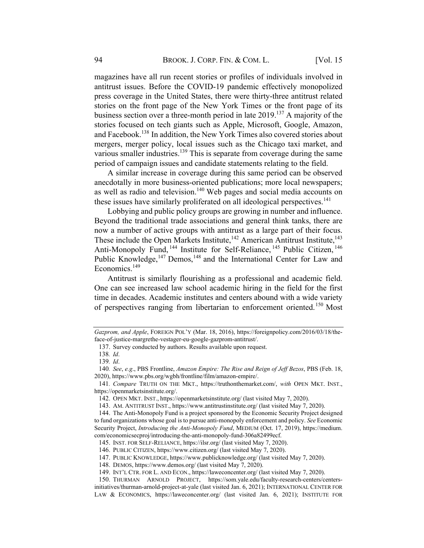magazines have all run recent stories or profiles of individuals involved in antitrust issues. Before the COVID-19 pandemic effectively monopolized press coverage in the United States, there were thirty-three antitrust related stories on the front page of the New York Times or the front page of its business section over a three-month period in late 2019.137 A majority of the stories focused on tech giants such as Apple, Microsoft, Google, Amazon, and Facebook. <sup>138</sup> In addition, the New York Times also covered stories about mergers, merger policy, local issues such as the Chicago taxi market, and various smaller industries.<sup>139</sup> This is separate from coverage during the same period of campaign issues and candidate statements relating to the field.

A similar increase in coverage during this same period can be observed anecdotally in more business-oriented publications; more local newspapers; as well as radio and television.<sup>140</sup> Web pages and social media accounts on these issues have similarly proliferated on all ideological perspectives.<sup>141</sup>

Lobbying and public policy groups are growing in number and influence. Beyond the traditional trade associations and general think tanks, there are now a number of active groups with antitrust as a large part of their focus. These include the Open Markets Institute,<sup>142</sup> American Antitrust Institute,<sup>143</sup> Anti-Monopoly Fund, <sup>144</sup> Institute for Self-Reliance, <sup>145</sup> Public Citizen, <sup>146</sup> Public Knowledge, <sup>147</sup> Demos, <sup>148</sup> and the International Center for Law and Economics.<sup>149</sup>

Antitrust is similarly flourishing as a professional and academic field. One can see increased law school academic hiring in the field for the first time in decades. Academic institutes and centers abound with a wide variety of perspectives ranging from libertarian to enforcement oriented.<sup>150</sup> Most

Gazprom, and Apple, FOREIGN POL'Y (Mar. 18, 2016), https://foreignpolicy.com/2016/03/18/theface-of-justice-margrethe-vestager-eu-google-gazprom-antitrust/.

<sup>137.</sup> Survey conducted by authors. Results available upon request.

<sup>138</sup>. Id.

<sup>139</sup>. Id.

<sup>140</sup>. See, e.g., PBS Frontline, Amazon Empire: The Rise and Reign of Jeff Bezos, PBS (Feb. 18, 2020), https://www.pbs.org/wgbh/frontline/film/amazon-empire/.

<sup>141</sup>. Compare TRUTH ON THE MKT., https://truthonthemarket.com/, with OPEN MKT. INST., https://openmarketsinstitute.org/.

<sup>142.</sup> OPEN MKT. INST., https://openmarketsinstitute.org/ (last visited May 7, 2020).

<sup>143.</sup> AM. ANTITRUST INST., https://www.antitrustinstitute.org/ (last visited May 7, 2020).

<sup>144.</sup> The Anti-Monopoly Fund is a project sponsored by the Economic Security Project designed to fund organizations whose goal is to pursue anti-monopoly enforcement and policy. See Economic Security Project, Introducing the Anti-Monopoly Fund, MEDIUM (Oct. 17, 2019), https://medium. com/economicsecproj/introducing-the-anti-monopoly-fund-306a82499ecf.

<sup>145.</sup> INST. FOR SELF-RELIANCE, https://ilsr.org/ (last visited May 7, 2020).

<sup>146.</sup> PUBLIC CITIZEN, https://www.citizen.org/ (last visited May 7, 2020).

<sup>147.</sup> PUBLIC KNOWLEDGE, https://www.publicknowledge.org/ (last visited May 7, 2020).

<sup>148.</sup> DEMOS, https://www.demos.org/ (last visited May 7, 2020).

<sup>149.</sup> INT'L CTR. FOR L. AND ECON., https://laweconcenter.org/ (last visited May 7, 2020).

<sup>150.</sup> THURMAN ARNOLD PROJECT, https://som.yale.edu/faculty-research-centers/centersinitiatives/thurman-arnold-project-at-yale (last visited Jan. 6, 2021); INTERNATIONAL CENTER FOR LAW & ECONOMICS, https://laweconcenter.org/ (last visited Jan. 6, 2021); INSTITUTE FOR